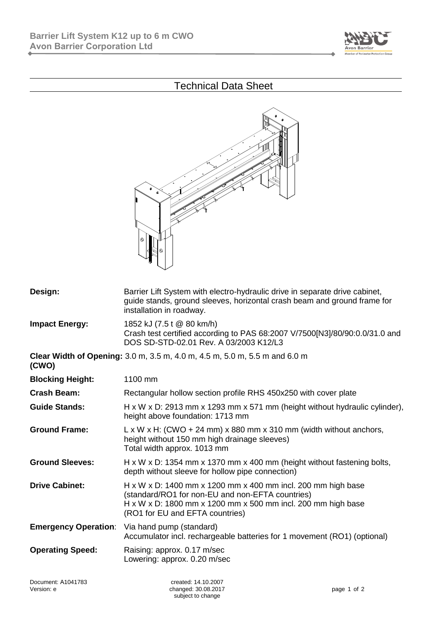

## Technical Data Sheet



| Design:                     | Barrier Lift System with electro-hydraulic drive in separate drive cabinet,<br>guide stands, ground sleeves, horizontal crash beam and ground frame for<br>installation in roadway.                                 |  |
|-----------------------------|---------------------------------------------------------------------------------------------------------------------------------------------------------------------------------------------------------------------|--|
| <b>Impact Energy:</b>       | 1852 kJ (7.5 t @ 80 km/h)<br>Crash test certified according to PAS 68:2007 V/7500[N3]/80/90:0.0/31.0 and<br>DOS SD-STD-02.01 Rev. A 03/2003 K12/L3                                                                  |  |
| (CWO)                       | Clear Width of Opening: 3.0 m, 3.5 m, 4.0 m, 4.5 m, 5.0 m, 5.5 m and 6.0 m                                                                                                                                          |  |
| <b>Blocking Height:</b>     | 1100 mm                                                                                                                                                                                                             |  |
| <b>Crash Beam:</b>          | Rectangular hollow section profile RHS 450x250 with cover plate                                                                                                                                                     |  |
| <b>Guide Stands:</b>        | H x W x D: 2913 mm x 1293 mm x 571 mm (height without hydraulic cylinder),<br>height above foundation: 1713 mm                                                                                                      |  |
| <b>Ground Frame:</b>        | $L \times W \times H$ : (CWO + 24 mm) $\times$ 880 mm $\times$ 310 mm (width without anchors,<br>height without 150 mm high drainage sleeves)<br>Total width approx. 1013 mm                                        |  |
| <b>Ground Sleeves:</b>      | $H \times W \times D$ : 1354 mm x 1370 mm x 400 mm (height without fastening bolts,<br>depth without sleeve for hollow pipe connection)                                                                             |  |
| <b>Drive Cabinet:</b>       | H x W x D: 1400 mm x 1200 mm x 400 mm incl. 200 mm high base<br>(standard/RO1 for non-EU and non-EFTA countries)<br>H x W x D: 1800 mm x 1200 mm x 500 mm incl. 200 mm high base<br>(RO1 for EU and EFTA countries) |  |
| <b>Emergency Operation:</b> | Via hand pump (standard)<br>Accumulator incl. rechargeable batteries for 1 movement (RO1) (optional)                                                                                                                |  |
| <b>Operating Speed:</b>     | Raising: approx. 0.17 m/sec<br>Lowering: approx. 0.20 m/sec                                                                                                                                                         |  |